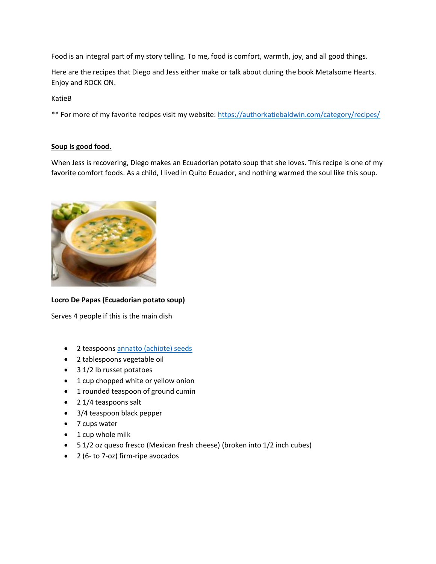Food is an integral part of my story telling. To me, food is comfort, warmth, joy, and all good things.

Here are the recipes that Diego and Jess either make or talk about during the book Metalsome Hearts. Enjoy and ROCK ON.

KatieB

\*\* For more of my favorite recipes visit my website:<https://authorkatiebaldwin.com/category/recipes/>

### **Soup is good food.**

When Jess is recovering, Diego makes an Ecuadorian potato soup that she loves. This recipe is one of my favorite comfort foods. As a child, I lived in Quito Ecuador, and nothing warmed the soul like this soup.



# **Locro De Papas (Ecuadorian potato soup)**

Serves 4 people if this is the main dish

- 2 teaspoon[s annatto \(achiote\) seeds](https://www.amazon.com/Annatto-Natural-Orellana-semillas-seasoning/dp/B098J99R2B/ref=sr_1_3_sspa?gclid=Cj0KCQjw06OTBhC_ARIsAAU1yOVl6XVeKUH6H4ETukZPkLTHCWVlAD3d7CZyppyIV42W9hETQyRGjc8aAudvEALw_wcB&hvadid=409973840568&hvdev=c&hvlocphy=1027070&hvnetw=g&hvqmt=e&hvrand=12757744685649763745&hvtargid=kwd-302611074384&hydadcr=4820_11142730&keywords=achiote+annatto&qid=1651068889&sr=8-3-spons&psc=1&spLa=ZW5jcnlwdGVkUXVhbGlmaWVyPUExUlpEOTZIU0xUODA1JmVuY3J5cHRlZElkPUEwNTQ3NTE4Mk5ZSDBITzdYVlhUJmVuY3J5cHRlZEFkSWQ9QTA2MzU3NzZMVVdBSjFXVjM5V0cmd2lkZ2V0TmFtZT1zcF9hdGYmYWN0aW9uPWNsaWNrUmVkaXJlY3QmZG9Ob3RMb2dDbGljaz10cnVl)
- 2 tablespoons vegetable oil
- 3 1/2 lb russet potatoes
- 1 cup chopped white or yellow onion
- 1 rounded teaspoon of ground cumin
- 2 1/4 teaspoons salt
- 3/4 teaspoon black pepper
- 7 cups water
- 1 cup whole milk
- 5 1/2 oz queso fresco (Mexican fresh cheese) (broken into 1/2 inch cubes)
- 2 (6- to 7-oz) firm-ripe avocados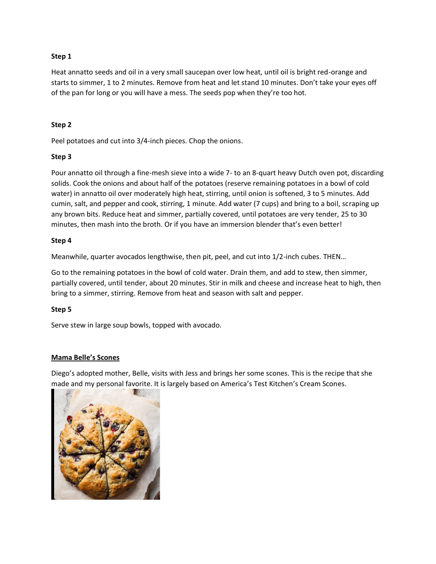### **Step 1**

Heat annatto seeds and oil in a very small saucepan over low heat, until oil is bright red-orange and starts to simmer, 1 to 2 minutes. Remove from heat and let stand 10 minutes. Don't take your eyes off of the pan for long or you will have a mess. The seeds pop when they're too hot.

### **Step 2**

Peel potatoes and cut into 3/4-inch pieces. Chop the onions.

### **Step 3**

Pour annatto oil through a fine-mesh sieve into a wide 7- to an 8-quart heavy Dutch oven pot, discarding solids. Cook the onions and about half of the potatoes (reserve remaining potatoes in a bowl of cold water) in annatto oil over moderately high heat, stirring, until onion is softened, 3 to 5 minutes. Add cumin, salt, and pepper and cook, stirring, 1 minute. Add water (7 cups) and bring to a boil, scraping up any brown bits. Reduce heat and simmer, partially covered, until potatoes are very tender, 25 to 30 minutes, then mash into the broth. Or if you have an immersion blender that's even better!

### **Step 4**

Meanwhile, quarter avocados lengthwise, then pit, peel, and cut into 1/2-inch cubes. THEN…

Go to the remaining potatoes in the bowl of cold water. Drain them, and add to stew, then simmer, partially covered, until tender, about 20 minutes. Stir in milk and cheese and increase heat to high, then bring to a simmer, stirring. Remove from heat and season with salt and pepper.

### **Step 5**

Serve stew in large soup bowls, topped with avocado.

### **Mama Belle's Scones**

Diego's adopted mother, Belle, visits with Jess and brings her some scones. This is the recipe that she made and my personal favorite. It is largely based on America's Test Kitchen's Cream Scones.

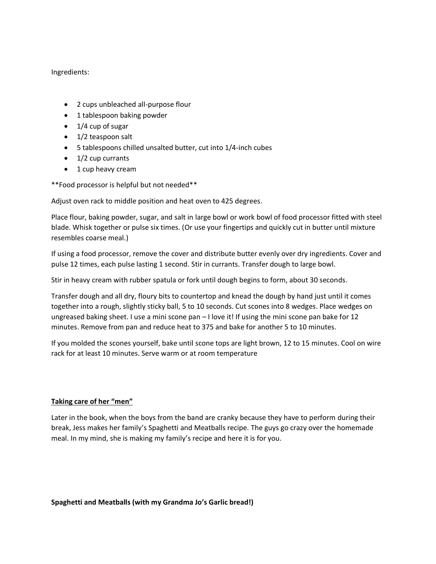Ingredients:

- 2 cups unbleached all-purpose flour
- 1 tablespoon baking powder
- 1/4 cup of sugar
- 1/2 teaspoon salt
- 5 tablespoons chilled unsalted butter, cut into 1/4-inch cubes
- $\bullet$  1/2 cup currants
- 1 cup heavy cream

\*\*Food processor is helpful but not needed\*\*

Adjust oven rack to middle position and heat oven to 425 degrees.

Place flour, baking powder, sugar, and salt in large bowl or work bowl of food processor fitted with steel blade. Whisk together or pulse six times. (Or use your fingertips and quickly cut in butter until mixture resembles coarse meal.)

If using a food processor, remove the cover and distribute butter evenly over dry ingredients. Cover and pulse 12 times, each pulse lasting 1 second. Stir in currants. Transfer dough to large bowl.

Stir in heavy cream with rubber spatula or fork until dough begins to form, about 30 seconds.

Transfer dough and all dry, floury bits to countertop and knead the dough by hand just until it comes together into a rough, slightly sticky ball, 5 to 10 seconds. Cut scones into 8 wedges. Place wedges on ungreased baking sheet. I use a mini scone pan - I love it! If using the mini scone pan bake for 12 minutes. Remove from pan and reduce heat to 375 and bake for another 5 to 10 minutes.

If you molded the scones yourself, bake until scone tops are light brown, 12 to 15 minutes. Cool on wire rack for at least 10 minutes. Serve warm or at room temperature

# **Taking care of her "men"**

Later in the book, when the boys from the band are cranky because they have to perform during their break, Jess makes her family's Spaghetti and Meatballs recipe. The guys go crazy over the homemade meal. In my mind, she is making my family's recipe and here it is for you.

### **Spaghetti and Meatballs (with my Grandma Jo's Garlic bread!)**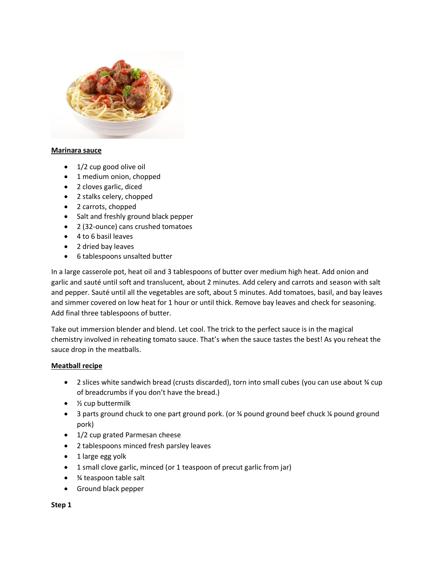

### **Marinara sauce**

- 1/2 cup good olive oil
- 1 medium onion, chopped
- 2 cloves garlic, diced
- 2 stalks celery, chopped
- 2 carrots, chopped
- Salt and freshly ground black pepper
- 2 (32-ounce) cans crushed tomatoes
- 4 to 6 basil leaves
- 2 dried bay leaves
- 6 tablespoons unsalted butter

In a large casserole pot, heat oil and 3 tablespoons of butter over medium high heat. Add onion and garlic and sauté until soft and translucent, about 2 minutes. Add celery and carrots and season with salt and pepper. Sauté until all the vegetables are soft, about 5 minutes. Add tomatoes, basil, and bay leaves and simmer covered on low heat for 1 hour or until thick. Remove bay leaves and check for seasoning. Add final three tablespoons of butter.

Take out immersion blender and blend. Let cool. The trick to the perfect sauce is in the magical chemistry involved in reheating tomato sauce. That's when the sauce tastes the best! As you reheat the sauce drop in the meatballs.

### **Meatball recipe**

- 2 slices white sandwich bread (crusts discarded), torn into small cubes (you can use about  $\frac{3}{4}$  cup of breadcrumbs if you don't have the bread.)
- 1/2 cup buttermilk
- 3 parts ground chuck to one part ground pork. (or % pound ground beef chuck % pound ground pork)
- 1/2 cup grated Parmesan cheese
- 2 tablespoons minced fresh parsley leaves
- 1 large egg yolk
- 1 small clove garlic, minced (or 1 teaspoon of precut garlic from jar)
- ¾ teaspoon table salt
- Ground black pepper

**Step 1**